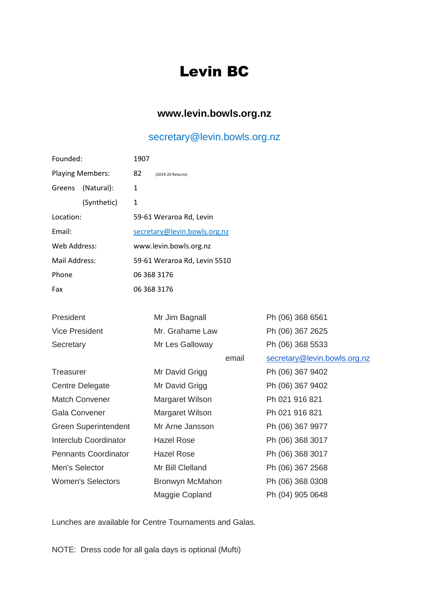## Levin BC

## **[www.levin.bowls.org.nz](http://www.levin.bowls.org.nz/)**

## [secretary@levin.bowls.org.nz](mailto:secretary@levin.bowls.org.nz)

| Founded:                    |             | 1907                         |                   |                  |                              |
|-----------------------------|-------------|------------------------------|-------------------|------------------|------------------------------|
| <b>Playing Members:</b>     |             | 82                           | (2019-20 Returns) |                  |                              |
| Greens                      | (Natural):  | 1                            |                   |                  |                              |
|                             | (Synthetic) | $\mathbf{1}$                 |                   |                  |                              |
| Location:                   |             | 59-61 Weraroa Rd, Levin      |                   |                  |                              |
| Email:                      |             | secretary@levin.bowls.org.nz |                   |                  |                              |
| Web Address:                |             | www.levin.bowls.org.nz       |                   |                  |                              |
| Mail Address:               |             | 59-61 Weraroa Rd, Levin 5510 |                   |                  |                              |
| Phone                       |             | 06 368 3176                  |                   |                  |                              |
| Fax                         |             | 06 368 3176                  |                   |                  |                              |
|                             |             |                              |                   |                  |                              |
| President                   |             |                              | Mr Jim Bagnall    |                  | Ph (06) 368 6561             |
| <b>Vice President</b>       |             |                              | Mr. Grahame Law   |                  | Ph (06) 367 2625             |
| Secretary                   |             |                              | Mr Les Galloway   |                  | Ph (06) 368 5533             |
|                             |             |                              |                   | email            | secretary@levin.bowls.org.nz |
| <b>Treasurer</b>            |             |                              | Mr David Grigg    |                  | Ph (06) 367 9402             |
| <b>Centre Delegate</b>      |             | Mr David Grigg               |                   | Ph (06) 367 9402 |                              |
| <b>Match Convener</b>       |             |                              | Margaret Wilson   |                  | Ph 021 916 821               |
| <b>Gala Convener</b>        |             |                              | Margaret Wilson   |                  | Ph 021 916 821               |
| <b>Green Superintendent</b> |             |                              | Mr Arne Jansson   |                  | Ph (06) 367 9977             |
| Interclub Coordinator       |             |                              | <b>Hazel Rose</b> |                  | Ph (06) 368 3017             |
| <b>Pennants Coordinator</b> |             |                              | <b>Hazel Rose</b> |                  | Ph (06) 368 3017             |
| Men's Selector              |             |                              | Mr Bill Clelland  |                  | Ph (06) 367 2568             |
| <b>Women's Selectors</b>    |             |                              | Bronwyn McMahon   |                  | Ph (06) 368 0308             |
|                             |             |                              | Maggie Copland    |                  | Ph (04) 905 0648             |

Lunches are available for Centre Tournaments and Galas.

NOTE: Dress code for all gala days is optional (Mufti)